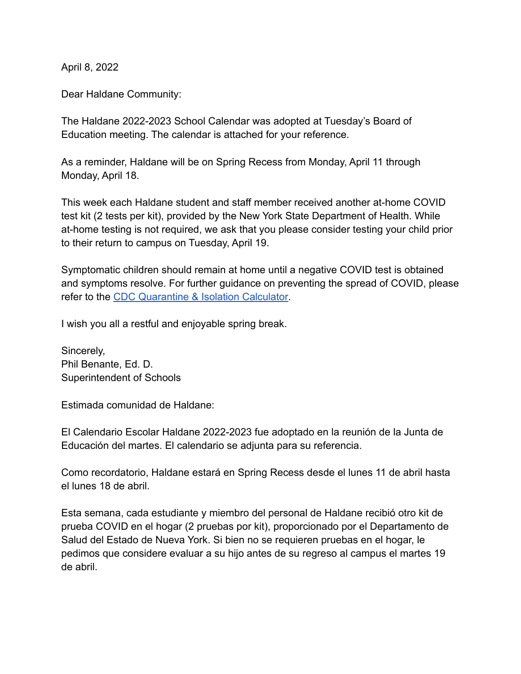April 8, 2022

Dear Haldane Community:

The Haldane 2022-2023 School Calendar was adopted at Tuesday's Board of Education meeting. The calendar is attached for your reference.

As a reminder, Haldane will be on Spring Recess from Monday, April 11 through Monday, April 18.

This week each Haldane student and staff member received another at-home COVID test kit (2 tests per kit), provided by the New York State Department of Health. While at-home testing is not required, we ask that you please consider testing your child prior to their return to campus on Tuesday, April 19.

Symptomatic children should remain at home until a negative COVID test is obtained and symptoms resolve. For further guidance on preventing the spread of COVID, please refer to the [CDC Quarantine & Isolation Calculator.](https://www.cdc.gov/coronavirus/2019-ncov/your-health/quarantine-isolation.html#)

I wish you all a restful and enjoyable spring break.

Sincerely, Phil Benante, Ed. D. Superintendent of Schools

Estimada comunidad de Haldane:

El Calendario Escolar Haldane 2022-2023 fue adoptado en la reunión de la Junta de Educación del martes. El calendario se adjunta para su referencia.

Como recordatorio, Haldane estará en Spring Recess desde el lunes 11 de abril hasta el lunes 18 de abril.

Esta semana, cada estudiante y miembro del personal de Haldane recibió otro kit de prueba COVID en el hogar (2 pruebas por kit), proporcionado por el Departamento de Salud del Estado de Nueva York. Si bien no se requieren pruebas en el hogar, le pedimos que considere evaluar a su hijo antes de su regreso al campus el martes 19 de abril.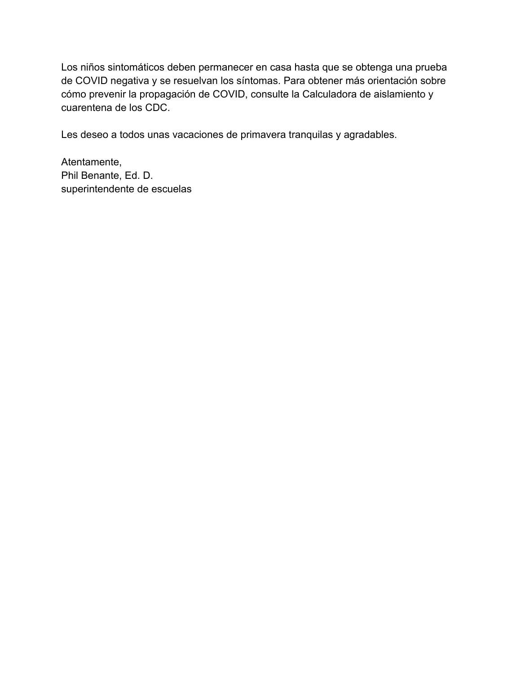Los niños sintomáticos deben permanecer en casa hasta que se obtenga una prueba de COVID negativa y se resuelvan los síntomas. Para obtener más orientación sobre cómo prevenir la propagación de COVID, consulte la Calculadora de aislamiento y cuarentena de los CDC.

Les deseo a todos unas vacaciones de primavera tranquilas y agradables.

Atentamente, Phil Benante, Ed. D. superintendente de escuelas